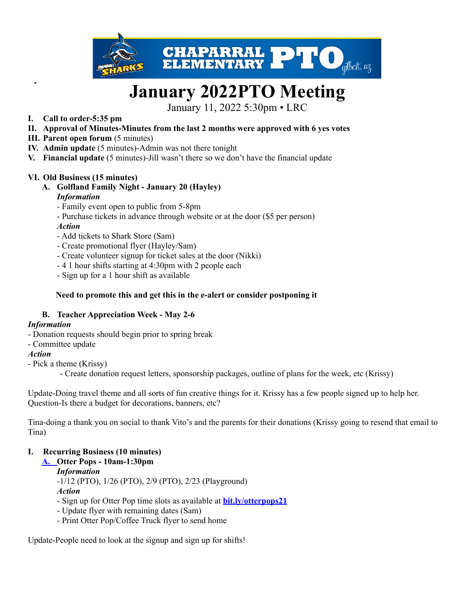

# **January 2022PTO Meeting**

January 11, 2022 5:30pm • LRC

- **I. Call to order-5:35 pm**
- **II. Approval of Minutes-Minutes from the last 2 months were approved with 6 yes votes**
- **III. Parent open forum** (5 minutes)
- **IV. Admin update** (5 minutes)-Admin was not there tonight
- **V. Financial update** (5 minutes)-Jill wasn't there so we don't have the financial update

#### **VI. Old Business (15 minutes)**

**A. Golfland Family Night - January 20 (Hayley)**

#### *Information*

- Family event open to public from 5-8pm
- Purchase tickets in advance through website or at the door (\$5 per person)
- *Action*
- Add tickets to Shark Store (Sam)
- Create promotional flyer (Hayley/Sam)
- Create volunteer signup for ticket sales at the door (Nikki)
- 4 1 hour shifts starting at 4:30pm with 2 people each
- Sign up for a 1 hour shift as available

#### **Need to promote this and get this in the e-alert or consider postponing it**

#### **B. Teacher Appreciation Week - May 2-6**

## *Information*

- Donation requests should begin prior to spring break
- Committee update

#### *Action*

- Pick a theme (Krissy)
	- Create donation request letters, sponsorship packages, outline of plans for the week, etc (Krissy)

Update-Doing travel theme and all sorts of fun creative things for it. Krissy has a few people signed up to help her. Question-Is there a budget for decorations, banners, etc?

Tina-doing a thank you on social to thank Vito's and the parents for their donations (Krissy going to resend that email to Tina)

## **I. Recurring Business (10 minutes)**

## **A. Otter Pops - 10am-1:30pm**

*Information*

-1/12 (PTO), 1/26 (PTO), 2/9 (PTO), 2/23 (Playground) *Action*

- Sign up for Otter Pop time slots as available at **[bit.ly/otterpops21](http://bit.ly/otterpops21)**
- Update flyer with remaining dates (Sam)
- Print Otter Pop/Coffee Truck flyer to send home

Update-People need to look at the signup and sign up for shifts!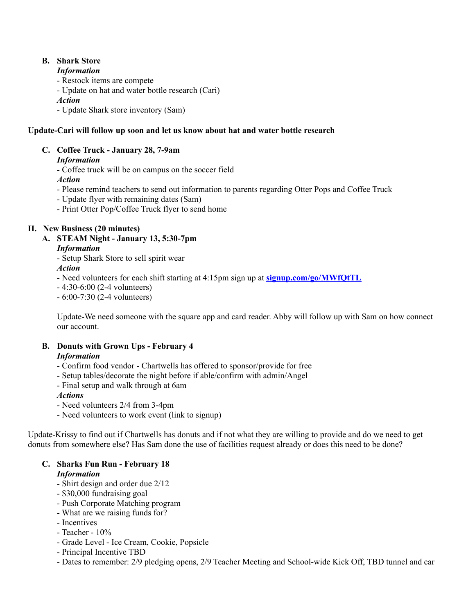# **B. Shark Store**

#### *Information*

- Restock items are compete
- Update on hat and water bottle research (Cari)

*Action*

- Update Shark store inventory (Sam)

# **Update-Cari will follow up soon and let us know about hat and water bottle research**

# **C. Coffee Truck - January 28, 7-9am**

# *Information*

- Coffee truck will be on campus on the soccer field

*Action*

- Please remind teachers to send out information to parents regarding Otter Pops and Coffee Truck
- Update flyer with remaining dates (Sam)
- Print Otter Pop/Coffee Truck flyer to send home

# **II. New Business (20 minutes)**

**A. STEAM Night - January 13, 5:30-7pm** *Information*

- Setup Shark Store to sell spirit wear

# *Action*

- Need volunteers for each shift starting at 4:15pm sign up at **[signup.com/go/MWfQtTL](http://signup.com/go/MWfQtTL)**
- 4:30-6:00 (2-4 volunteers)
- 6:00-7:30 (2-4 volunteers)

Update-We need someone with the square app and card reader. Abby will follow up with Sam on how connect our account.

# **B. Donuts with Grown Ups - February 4**

## *Information*

- Confirm food vendor Chartwells has offered to sponsor/provide for free
- Setup tables/decorate the night before if able/confirm with admin/Angel
- Final setup and walk through at 6am

## *Actions*

- Need volunteers 2/4 from 3-4pm
- Need volunteers to work event (link to signup)

Update-Krissy to find out if Chartwells has donuts and if not what they are willing to provide and do we need to get donuts from somewhere else? Has Sam done the use of facilities request already or does this need to be done?

#### **C. Sharks Fun Run - February 18** *Information*

- Shirt design and order due 2/12
- \$30,000 fundraising goal
- Push Corporate Matching program
- What are we raising funds for?
- Incentives
- Teacher 10%
- Grade Level Ice Cream, Cookie, Popsicle
- Principal Incentive TBD
- Dates to remember: 2/9 pledging opens, 2/9 Teacher Meeting and School-wide Kick Off, TBD tunnel and car